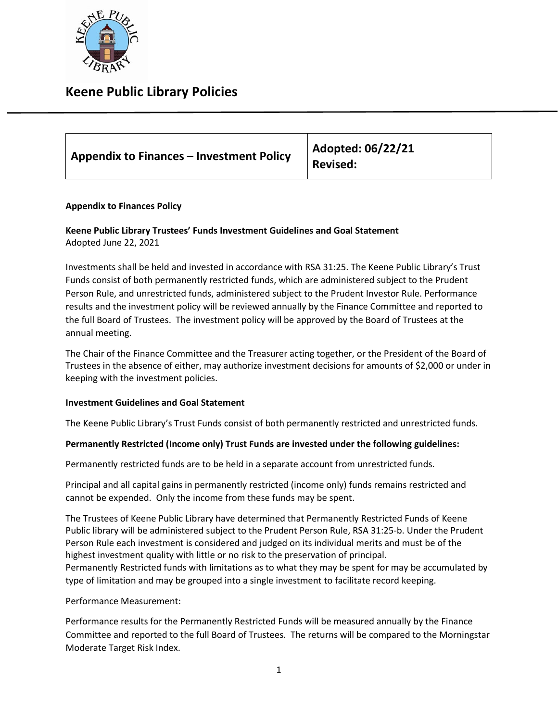

## **Keene Public Library Policies**

| <b>Appendix to Finances - Investment Policy</b> | Adopted: 06/22/21<br><b>Revised:</b> |
|-------------------------------------------------|--------------------------------------|
|                                                 |                                      |

## **Appendix to Finances Policy**

## **Keene Public Library Trustees' Funds Investment Guidelines and Goal Statement** Adopted June 22, 2021

Investments shall be held and invested in accordance with RSA 31:25. The Keene Public Library's Trust Funds consist of both permanently restricted funds, which are administered subject to the Prudent Person Rule, and unrestricted funds, administered subject to the Prudent Investor Rule. Performance results and the investment policy will be reviewed annually by the Finance Committee and reported to the full Board of Trustees. The investment policy will be approved by the Board of Trustees at the annual meeting.

The Chair of the Finance Committee and the Treasurer acting together, or the President of the Board of Trustees in the absence of either, may authorize investment decisions for amounts of \$2,000 or under in keeping with the investment policies.

### **Investment Guidelines and Goal Statement**

The Keene Public Library's Trust Funds consist of both permanently restricted and unrestricted funds.

### **Permanently Restricted (Income only) Trust Funds are invested under the following guidelines:**

Permanently restricted funds are to be held in a separate account from unrestricted funds.

Principal and all capital gains in permanently restricted (income only) funds remains restricted and cannot be expended. Only the income from these funds may be spent.

The Trustees of Keene Public Library have determined that Permanently Restricted Funds of Keene Public library will be administered subject to the Prudent Person Rule, RSA 31:25-b. Under the Prudent Person Rule each investment is considered and judged on its individual merits and must be of the highest investment quality with little or no risk to the preservation of principal. Permanently Restricted funds with limitations as to what they may be spent for may be accumulated by type of limitation and may be grouped into a single investment to facilitate record keeping.

Performance Measurement:

Performance results for the Permanently Restricted Funds will be measured annually by the Finance Committee and reported to the full Board of Trustees. The returns will be compared to the Morningstar Moderate Target Risk Index.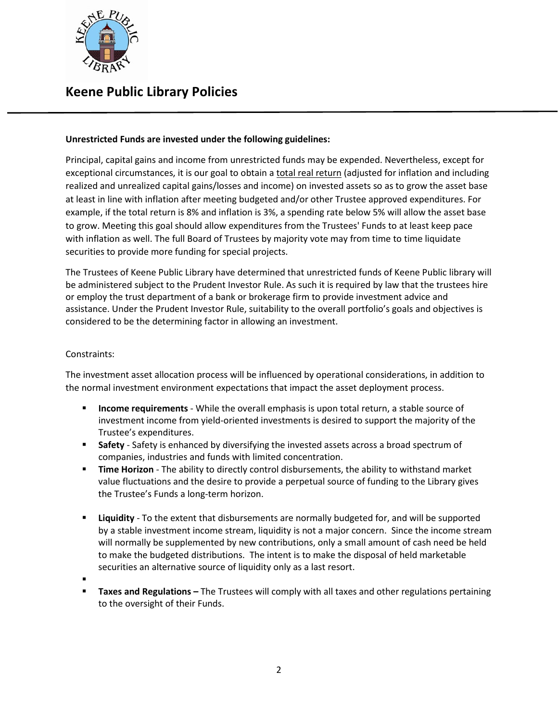

# **Keene Public Library Policies**

## **Unrestricted Funds are invested under the following guidelines:**

Principal, capital gains and income from unrestricted funds may be expended. Nevertheless, except for exceptional circumstances, it is our goal to obtain a total real return (adjusted for inflation and including realized and unrealized capital gains/losses and income) on invested assets so as to grow the asset base at least in line with inflation after meeting budgeted and/or other Trustee approved expenditures. For example, if the total return is 8% and inflation is 3%, a spending rate below 5% will allow the asset base to grow. Meeting this goal should allow expenditures from the Trustees' Funds to at least keep pace with inflation as well. The full Board of Trustees by majority vote may from time to time liquidate securities to provide more funding for special projects.

The Trustees of Keene Public Library have determined that unrestricted funds of Keene Public library will be administered subject to the Prudent Investor Rule. As such it is required by law that the trustees hire or employ the trust department of a bank or brokerage firm to provide investment advice and assistance. Under the Prudent Investor Rule, suitability to the overall portfolio's goals and objectives is considered to be the determining factor in allowing an investment.

### Constraints:

The investment asset allocation process will be influenced by operational considerations, in addition to the normal investment environment expectations that impact the asset deployment process.

- **Income requirements** While the overall emphasis is upon total return, a stable source of investment income from yield-oriented investments is desired to support the majority of the Trustee's expenditures.
- **Safety** Safety is enhanced by diversifying the invested assets across a broad spectrum of companies, industries and funds with limited concentration.
- **Time Horizon** The ability to directly control disbursements, the ability to withstand market value fluctuations and the desire to provide a perpetual source of funding to the Library gives the Trustee's Funds a long-term horizon.
- **Liquidity** To the extent that disbursements are normally budgeted for, and will be supported by a stable investment income stream, liquidity is not a major concern. Since the income stream will normally be supplemented by new contributions, only a small amount of cash need be held to make the budgeted distributions. The intent is to make the disposal of held marketable securities an alternative source of liquidity only as a last resort.
- $\blacksquare$
- **Taxes and Regulations –** The Trustees will comply with all taxes and other regulations pertaining to the oversight of their Funds.